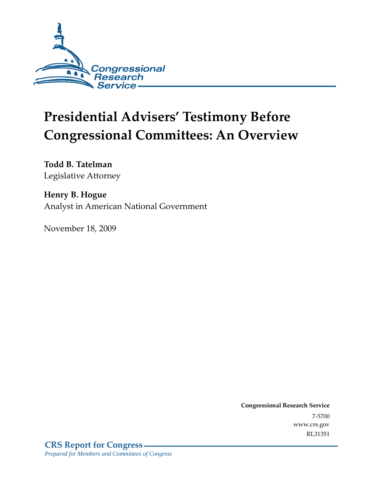

# **Presidential Advisers' Testimony Before Congressional Committees: An Overview**

**Todd B. Tatelman**  Legislative Attorney

**Henry B. Hogue**  Analyst in American National Government

November 18, 2009

**Congressional Research Service** 7-5700 www.crs.gov RL31351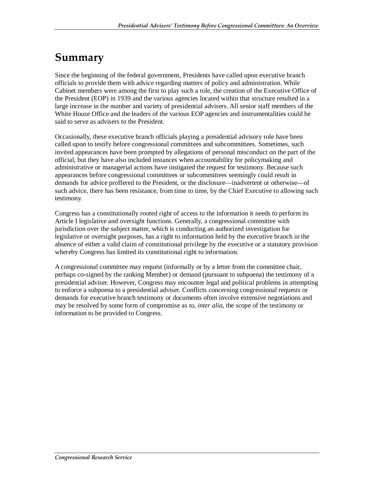# **Summary**

Since the beginning of the federal government, Presidents have called upon executive branch officials to provide them with advice regarding matters of policy and administration. While Cabinet members were among the first to play such a role, the creation of the Executive Office of the President (EOP) in 1939 and the various agencies located within that structure resulted in a large increase in the number and variety of presidential advisers. All senior staff members of the White House Office and the leaders of the various EOP agencies and instrumentalities could be said to serve as advisers to the President.

Occasionally, these executive branch officials playing a presidential advisory role have been called upon to testify before congressional committees and subcommittees. Sometimes, such invited appearances have been prompted by allegations of personal misconduct on the part of the official, but they have also included instances when accountability for policymaking and administrative or managerial actions have instigated the request for testimony. Because such appearances before congressional committees or subcommittees seemingly could result in demands for advice proffered to the President, or the disclosure—inadvertent or otherwise—of such advice, there has been resistance, from time to time, by the Chief Executive to allowing such testimony.

Congress has a constitutionally rooted right of access to the information it needs to perform its Article I legislative and oversight functions. Generally, a congressional committee with jurisdiction over the subject matter, which is conducting an authorized investigation for legislative or oversight purposes, has a right to information held by the executive branch in the absence of either a valid claim of constitutional privilege by the executive or a statutory provision whereby Congress has limited its constitutional right to information.

A congressional committee may request (informally or by a letter from the committee chair, perhaps co-signed by the ranking Member) or demand (pursuant to subpoena) the testimony of a presidential adviser. However, Congress may encounter legal and political problems in attempting to enforce a subpoena to a presidential adviser. Conflicts concerning congressional requests or demands for executive branch testimony or documents often involve extensive negotiations and may be resolved by some form of compromise as to, *inter alia*, the scope of the testimony or information to be provided to Congress.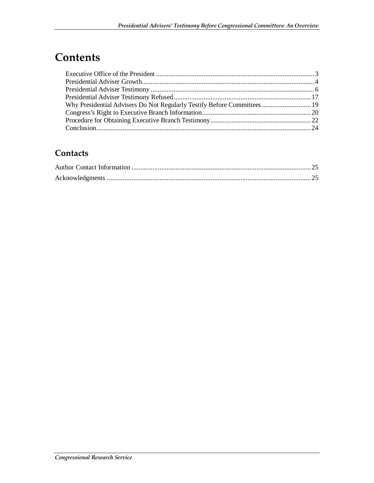# **Contents**

| Why Presidential Advisers Do Not Regularly Testify Before Committees 19 |  |
|-------------------------------------------------------------------------|--|
|                                                                         |  |
|                                                                         |  |
|                                                                         |  |

# **Contacts**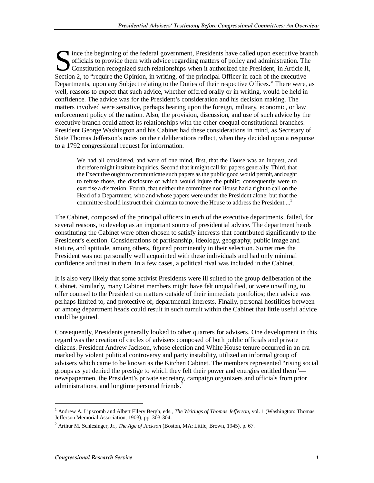Solicials to provide them with advice regarding matters of policy and administration. The<br>
Constitution recognized such relationships when it authorized the President, in Article II,<br>
Section 2 to "require the Opinion in w officials to provide them with advice regarding matters of policy and administration. The Constitution recognized such relationships when it authorized the President, in Article II, Section 2, to "require the Opinion, in writing, of the principal Officer in each of the executive Departments, upon any Subject relating to the Duties of their respective Offices." There were, as well, reasons to expect that such advice, whether offered orally or in writing, would be held in confidence. The advice was for the President's consideration and his decision making. The matters involved were sensitive, perhaps bearing upon the foreign, military, economic, or law enforcement policy of the nation. Also, the provision, discussion, and use of such advice by the executive branch could affect its relationships with the other coequal constitutional branches. President George Washington and his Cabinet had these considerations in mind, as Secretary of State Thomas Jefferson's notes on their deliberations reflect, when they decided upon a response to a 1792 congressional request for information.

We had all considered, and were of one mind, first, that the House was an inquest, and therefore might institute inquiries. Second that it might call for papers generally. Third, that the Executive ought to communicate such papers as the public good would permit, and ought to refuse those, the disclosure of which would injure the public; consequently were to exercise a discretion. Fourth, that neither the committee nor House had a right to call on the Head of a Department, who and whose papers were under the President alone; but that the committee should instruct their chairman to move the House to address the President....<sup>1</sup>

The Cabinet, composed of the principal officers in each of the executive departments, failed, for several reasons, to develop as an important source of presidential advice. The department heads constituting the Cabinet were often chosen to satisfy interests that contributed significantly to the President's election. Considerations of partisanship, ideology, geography, public image and stature, and aptitude, among others, figured prominently in their selection. Sometimes the President was not personally well acquainted with these individuals and had only minimal confidence and trust in them. In a few cases, a political rival was included in the Cabinet.

It is also very likely that some activist Presidents were ill suited to the group deliberation of the Cabinet. Similarly, many Cabinet members might have felt unqualified, or were unwilling, to offer counsel to the President on matters outside of their immediate portfolios; their advice was perhaps limited to, and protective of, departmental interests. Finally, personal hostilities between or among department heads could result in such tumult within the Cabinet that little useful advice could be gained.

Consequently, Presidents generally looked to other quarters for advisers. One development in this regard was the creation of circles of advisers composed of both public officials and private citizens. President Andrew Jackson, whose election and White House tenure occurred in an era marked by violent political controversy and party instability, utilized an informal group of advisers which came to be known as the Kitchen Cabinet. The members represented "rising social groups as yet denied the prestige to which they felt their power and energies entitled them" newspapermen, the President's private secretary, campaign organizers and officials from prior administrations, and longtime personal friends.<sup>2</sup>

<sup>&</sup>lt;sup>1</sup> Andrew A. Lipscomb and Albert Ellery Bergh, eds., *The Writings of Thomas Jefferson*, vol. 1 (Washington: Thomas Jefferson Memorial Association, 1903), pp. 303-304.

<sup>2</sup> Arthur M. Schlesinger, Jr., *The Age of Jackson* (Boston, MA: Little, Brown, 1945), p. 67.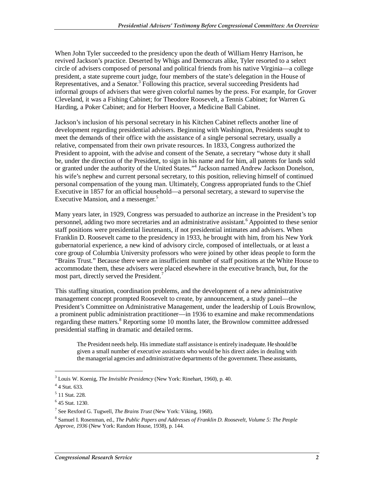When John Tyler succeeded to the presidency upon the death of William Henry Harrison, he revived Jackson's practice. Deserted by Whigs and Democrats alike, Tyler resorted to a select circle of advisers composed of personal and political friends from his native Virginia—a college president, a state supreme court judge, four members of the state's delegation in the House of Representatives, and a Senator.<sup>3</sup> Following this practice, several succeeding Presidents had informal groups of advisers that were given colorful names by the press. For example, for Grover Cleveland, it was a Fishing Cabinet; for Theodore Roosevelt, a Tennis Cabinet; for Warren G. Harding, a Poker Cabinet; and for Herbert Hoover, a Medicine Ball Cabinet.

Jackson's inclusion of his personal secretary in his Kitchen Cabinet reflects another line of development regarding presidential advisers. Beginning with Washington, Presidents sought to meet the demands of their office with the assistance of a single personal secretary, usually a relative, compensated from their own private resources. In 1833, Congress authorized the President to appoint, with the advise and consent of the Senate, a secretary "whose duty it shall be, under the direction of the President, to sign in his name and for him, all patents for lands sold or granted under the authority of the United States."<sup>4</sup> Jackson named Andrew Jackson Donelson, his wife's nephew and current personal secretary, to this position, relieving himself of continued personal compensation of the young man. Ultimately, Congress appropriated funds to the Chief Executive in 1857 for an official household—a personal secretary, a steward to supervise the Executive Mansion, and a messenger.<sup>5</sup>

Many years later, in 1929, Congress was persuaded to authorize an increase in the President's top personnel, adding two more secretaries and an administrative assistant.<sup>6</sup> Appointed to these senior staff positions were presidential lieutenants, if not presidential intimates and advisers. When Franklin D. Roosevelt came to the presidency in 1933, he brought with him, from his New York gubernatorial experience, a new kind of advisory circle, composed of intellectuals, or at least a core group of Columbia University professors who were joined by other ideas people to form the "Brains Trust." Because there were an insufficient number of staff positions at the White House to accommodate them, these advisers were placed elsewhere in the executive branch, but, for the most part, directly served the President.<sup>7</sup>

This staffing situation, coordination problems, and the development of a new administrative management concept prompted Roosevelt to create, by announcement, a study panel—the President's Committee on Administrative Management, under the leadership of Louis Brownlow, a prominent public administration practitioner—in 1936 to examine and make recommendations regarding these matters.<sup>8</sup> Reporting some 10 months later, the Brownlow committee addressed presidential staffing in dramatic and detailed terms.

The President needs help. His immediate staff assistance is entirely inadequate. He should be given a small number of executive assistants who would be his direct aides in dealing with the managerial agencies and administrative departments of the government. These assistants,

<sup>&</sup>lt;sup>3</sup> Louis W. Koenig, *The Invisible Presidency* (New York: Rinehart, 1960), p. 40.  $4.4 \text{ Stat } 632$ 

<sup>&</sup>lt;sup>4</sup> 4 Stat. 633.

<sup>5</sup> 11 Stat. 228.

<sup>6</sup> 45 Stat. 1230.

<sup>7</sup> See Rexford G. Tugwell, *The Brains Trust* (New York: Viking, 1968).

<sup>8</sup> Samuel I. Rosenman, ed., *The Public Papers and Addresses of Franklin D. Roosevelt, Volume 5: The People Approve, 1936* (New York: Random House, 1938), p. 144.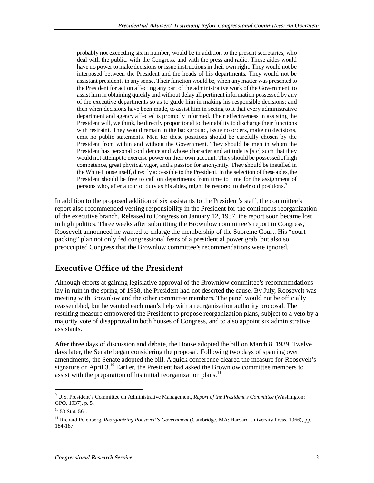probably not exceeding six in number, would be in addition to the present secretaries, who deal with the public, with the Congress, and with the press and radio. These aides would have no power to make decisions or issue instructions in their own right. They would not be interposed between the President and the heads of his departments. They would not be assistant presidents in any sense. Their function would be, when any matter was presented to the President for action affecting any part of the administrative work of the Government, to assist him in obtaining quickly and without delay all pertinent information possessed by any of the executive departments so as to guide him in making his responsible decisions; and then when decisions have been made, to assist him in seeing to it that every administrative department and agency affected is promptly informed. Their effectiveness in assisting the President will, we think, be directly proportional to their ability to discharge their functions with restraint. They would remain in the background, issue no orders, make no decisions, emit no public statements. Men for these positions should be carefully chosen by the President from within and without the Government. They should be men in whom the President has personal confidence and whose character and attitude is [sic] such that they would not attempt to exercise power on their own account. They should be possessed of high competence, great physical vigor, and a passion for anonymity. They should be installed in the White House itself, directly accessible to the President. In the selection of these aides, the President should be free to call on departments from time to time for the assignment of persons who, after a tour of duty as his aides, might be restored to their old positions.9

In addition to the proposed addition of six assistants to the President's staff, the committee's report also recommended vesting responsibility in the President for the continuous reorganization of the executive branch. Released to Congress on January 12, 1937, the report soon became lost in high politics. Three weeks after submitting the Brownlow committee's report to Congress, Roosevelt announced he wanted to enlarge the membership of the Supreme Court. His "court packing" plan not only fed congressional fears of a presidential power grab, but also so preoccupied Congress that the Brownlow committee's recommendations were ignored.

## **Executive Office of the President**

Although efforts at gaining legislative approval of the Brownlow committee's recommendations lay in ruin in the spring of 1938, the President had not deserted the cause. By July, Roosevelt was meeting with Brownlow and the other committee members. The panel would not be officially reassembled, but he wanted each man's help with a reorganization authority proposal. The resulting measure empowered the President to propose reorganization plans, subject to a veto by a majority vote of disapproval in both houses of Congress, and to also appoint six administrative assistants.

After three days of discussion and debate, the House adopted the bill on March 8, 1939. Twelve days later, the Senate began considering the proposal. Following two days of sparring over amendments, the Senate adopted the bill. A quick conference cleared the measure for Roosevelt's signature on April  $3.^{10}$  Earlier, the President had asked the Brownlow committee members to assist with the preparation of his initial reorganization plans.<sup>11</sup>

<sup>9</sup> U.S. President's Committee on Administrative Management, *Report of the President's Committee* (Washington: GPO, 1937), p. 5.

<sup>&</sup>lt;sup>10</sup> 53 Stat. 561.

<sup>&</sup>lt;sup>11</sup> Richard Polenberg, *Reorganizing Roosevelt's Government* (Cambridge, MA: Harvard University Press, 1966), pp. 184-187.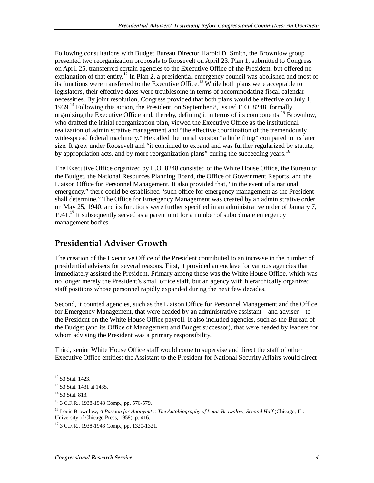Following consultations with Budget Bureau Director Harold D. Smith, the Brownlow group presented two reorganization proposals to Roosevelt on April 23. Plan 1, submitted to Congress on April 25, transferred certain agencies to the Executive Office of the President, but offered no explanation of that entity.<sup>12</sup> In Plan 2, a presidential emergency council was abolished and most of its functions were transferred to the Executive Office.13 While both plans were acceptable to legislators, their effective dates were troublesome in terms of accommodating fiscal calendar necessities. By joint resolution, Congress provided that both plans would be effective on July 1, 1939.<sup>14</sup> Following this action, the President, on September 8, issued E.O. 8248, formally organizing the Executive Office and, thereby, defining it in terms of its components.<sup>15</sup> Brownlow, who drafted the initial reorganization plan, viewed the Executive Office as the institutional realization of administrative management and "the effective coordination of the tremendously wide-spread federal machinery." He called the initial version "a little thing" compared to its later size. It grew under Roosevelt and "it continued to expand and was further regularized by statute, by appropriation acts, and by more reorganization plans" during the succeeding years.<sup>16</sup>

The Executive Office organized by E.O. 8248 consisted of the White House Office, the Bureau of the Budget, the National Resources Planning Board, the Office of Government Reports, and the Liaison Office for Personnel Management. It also provided that, "in the event of a national emergency," there could be established "such office for emergency management as the President shall determine." The Office for Emergency Management was created by an administrative order on May 25, 1940, and its functions were further specified in an administrative order of January 7,  $1941<sup>17</sup>$  It subsequently served as a parent unit for a number of subordinate emergency management bodies.

#### **Presidential Adviser Growth**

The creation of the Executive Office of the President contributed to an increase in the number of presidential advisers for several reasons. First, it provided an enclave for various agencies that immediately assisted the President. Primary among these was the White House Office, which was no longer merely the President's small office staff, but an agency with hierarchically organized staff positions whose personnel rapidly expanded during the next few decades.

Second, it counted agencies, such as the Liaison Office for Personnel Management and the Office for Emergency Management, that were headed by an administrative assistant—and adviser—to the President on the White House Office payroll. It also included agencies, such as the Bureau of the Budget (and its Office of Management and Budget successor), that were headed by leaders for whom advising the President was a primary responsibility.

Third, senior White House Office staff would come to supervise and direct the staff of other Executive Office entities: the Assistant to the President for National Security Affairs would direct

<sup>&</sup>lt;sup>12</sup> 53 Stat. 1423.

<sup>&</sup>lt;sup>13</sup> 53 Stat. 1431 at 1435.

 $14$  53 Stat. 813.

<sup>15 3</sup> C.F.R., 1938-1943 Comp., pp. 576-579.

<sup>&</sup>lt;sup>16</sup> Louis Brownlow, *A Passion for Anonymity: The Autobiography of Louis Brownlow, Second Half* (Chicago, IL: University of Chicago Press, 1958), p. 416.

<sup>17 3</sup> C.F.R., 1938-1943 Comp., pp. 1320-1321.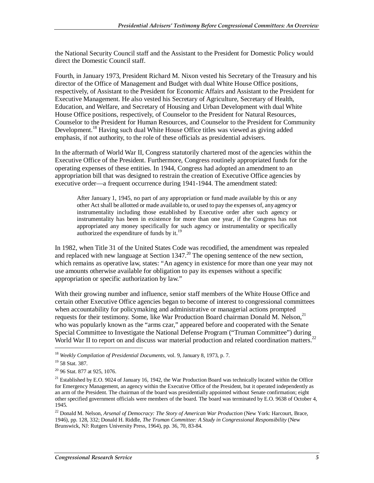the National Security Council staff and the Assistant to the President for Domestic Policy would direct the Domestic Council staff.

Fourth, in January 1973, President Richard M. Nixon vested his Secretary of the Treasury and his director of the Office of Management and Budget with dual White House Office positions, respectively, of Assistant to the President for Economic Affairs and Assistant to the President for Executive Management. He also vested his Secretary of Agriculture, Secretary of Health, Education, and Welfare, and Secretary of Housing and Urban Development with dual White House Office positions, respectively, of Counselor to the President for Natural Resources, Counselor to the President for Human Resources, and Counselor to the President for Community Development.<sup>18</sup> Having such dual White House Office titles was viewed as giving added emphasis, if not authority, to the role of these officials as presidential advisers.

In the aftermath of World War II, Congress statutorily chartered most of the agencies within the Executive Office of the President. Furthermore, Congress routinely appropriated funds for the operating expenses of these entities. In 1944, Congress had adopted an amendment to an appropriation bill that was designed to restrain the creation of Executive Office agencies by executive order—a frequent occurrence during 1941-1944. The amendment stated:

After January 1, 1945, no part of any appropriation or fund made available by this or any other Act shall be allotted or made available to, or used to pay the expenses of, any agency or instrumentality including those established by Executive order after such agency or instrumentality has been in existence for more than one year, if the Congress has not appropriated any money specifically for such agency or instrumentality or specifically authorized the expenditure of funds by it. $^{19}$ 

In 1982, when Title 31 of the United States Code was recodified, the amendment was repealed and replaced with new language at Section 1347.<sup>20</sup> The opening sentence of the new section, which remains as operative law, states: "An agency in existence for more than one year may not use amounts otherwise available for obligation to pay its expenses without a specific appropriation or specific authorization by law."

With their growing number and influence, senior staff members of the White House Office and certain other Executive Office agencies began to become of interest to congressional committees when accountability for policymaking and administrative or managerial actions prompted requests for their testimony. Some, like War Production Board chairman Donald M. Nelson,<sup>21</sup> who was popularly known as the "arms czar," appeared before and cooperated with the Senate Special Committee to Investigate the National Defense Program ("Truman Committee") during World War II to report on and discuss war material production and related coordination matters.<sup>22</sup>

<sup>18</sup> *Weekly Compilation of Presidential Documents*, vol. 9, January 8, 1973, p. 7.

<sup>19 58</sup> Stat. 387.

<sup>20 96</sup> Stat. 877 at 925, 1076.

 $21$  Established by E.O. 9024 of January 16, 1942, the War Production Board was technically located within the Office for Emergency Management, an agency within the Executive Office of the President, but it operated independently as an arm of the President. The chairman of the board was presidentially appointed without Senate confirmation; eight other specified government officials were members of the board. The board was terminated by E.O. 9638 of October 4, 1945.

<sup>22</sup> Donald M. Nelson, *Arsenal of Democracy: The Story of American War Production* (New York: Harcourt, Brace, 1946), pp. 128, 332; Donald H. Riddle, *The Truman Committee: A Study in Congressional Responsibility* (New Brunswick, NJ: Rutgers University Press, 1964), pp. 36, 70, 83-84.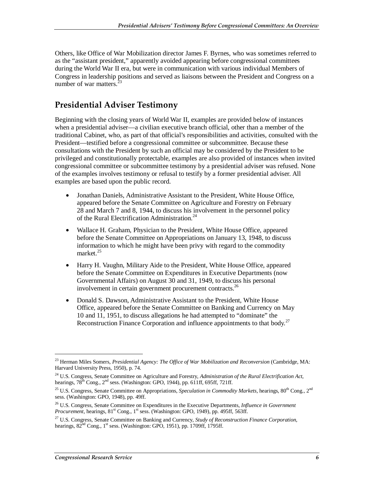Others, like Office of War Mobilization director James F. Byrnes, who was sometimes referred to as the "assistant president," apparently avoided appearing before congressional committees during the World War II era, but were in communication with various individual Members of Congress in leadership positions and served as liaisons between the President and Congress on a number of war matters.<sup>2</sup>

### **Presidential Adviser Testimony**

Beginning with the closing years of World War II, examples are provided below of instances when a presidential adviser—a civilian executive branch official, other than a member of the traditional Cabinet, who, as part of that official's responsibilities and activities, consulted with the President—testified before a congressional committee or subcommittee. Because these consultations with the President by such an official may be considered by the President to be privileged and constitutionally protectable, examples are also provided of instances when invited congressional committee or subcommittee testimony by a presidential adviser was refused. None of the examples involves testimony or refusal to testify by a former presidential adviser. All examples are based upon the public record.

- Jonathan Daniels, Administrative Assistant to the President, White House Office, appeared before the Senate Committee on Agriculture and Forestry on February 28 and March 7 and 8, 1944, to discuss his involvement in the personnel policy of the Rural Electrification Administration.<sup>24</sup>
- Wallace H. Graham, Physician to the President, White House Office, appeared before the Senate Committee on Appropriations on January 13, 1948, to discuss information to which he might have been privy with regard to the commodity market.<sup>25</sup>
- Harry H. Vaughn, Military Aide to the President, White House Office, appeared before the Senate Committee on Expenditures in Executive Departments (now Governmental Affairs) on August 30 and 31, 1949, to discuss his personal involvement in certain government procurement contracts.<sup>26</sup>
- Donald S. Dawson, Administrative Assistant to the President, White House Office, appeared before the Senate Committee on Banking and Currency on May 10 and 11, 1951, to discuss allegations he had attempted to "dominate" the Reconstruction Finance Corporation and influence appointments to that body.<sup>27</sup>

<sup>23</sup> Herman Miles Somers, *Presidential Agency: The Office of War Mobilization and Reconversion* (Cambridge, MA: Harvard University Press, 1950), p. 74.

<sup>24</sup> U.S. Congress, Senate Committee on Agriculture and Forestry, *Administration of the Rural Electrification Act*, hearings,  $78^{th}$  Cong.,  $2^{nd}$  sess. (Washington: GPO, 1944), pp. 611ff, 695ff, 721ff.

<sup>&</sup>lt;sup>25</sup> U.S. Congress, Senate Committee on Appropriations, *Speculation in Commodity Markets*, hearings, 80<sup>th</sup> Cong., 2<sup>nd</sup> sess. (Washington: GPO, 1948), pp. 49ff.

<sup>26</sup> U.S. Congress, Senate Committee on Expenditures in the Executive Departments, *Influence in Government Procurement*, hearings,  $81^{st}$  Cong.,  $1^{st}$  sess. (Washington: GPO, 1949), pp. 495ff, 563ff.

<sup>27</sup> U.S. Congress, Senate Committee on Banking and Currency, *Study of Reconstruction Finance Corporation*, hearings,  $82<sup>nd</sup>$  Cong., 1<sup>st</sup> sess. (Washington: GPO, 1951), pp. 1709ff, 1795ff.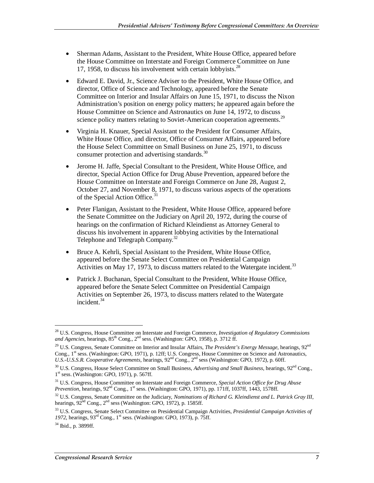- Sherman Adams, Assistant to the President, White House Office, appeared before the House Committee on Interstate and Foreign Commerce Committee on June 17, 1958, to discuss his involvement with certain lobbyists. $^{28}$
- Edward E. David, Jr., Science Adviser to the President, White House Office, and director, Office of Science and Technology, appeared before the Senate Committee on Interior and Insular Affairs on June 15, 1971, to discuss the Nixon Administration's position on energy policy matters; he appeared again before the House Committee on Science and Astronautics on June 14, 1972, to discuss science policy matters relating to Soviet-American cooperation agreements.<sup>29</sup>
- Virginia H. Knauer, Special Assistant to the President for Consumer Affairs, White House Office, and director, Office of Consumer Affairs, appeared before the House Select Committee on Small Business on June 25, 1971, to discuss consumer protection and advertising standards.<sup>30</sup>
- Jerome H. Jaffe, Special Consultant to the President, White House Office, and director, Special Action Office for Drug Abuse Prevention, appeared before the House Committee on Interstate and Foreign Commerce on June 28, August 2, October 27, and November 8, 1971, to discuss various aspects of the operations of the Special Action Office.<sup>31</sup>
- Peter Flanigan, Assistant to the President, White House Office, appeared before the Senate Committee on the Judiciary on April 20, 1972, during the course of hearings on the confirmation of Richard Kleindienst as Attorney General to discuss his involvement in apparent lobbying activities by the International Telephone and Telegraph Company.<sup>32</sup>
- Bruce A. Kehrli, Special Assistant to the President, White House Office, appeared before the Senate Select Committee on Presidential Campaign Activities on May 17, 1973, to discuss matters related to the Watergate incident.<sup>33</sup>
- Patrick J. Buchanan, Special Consultant to the President, White House Office, appeared before the Senate Select Committee on Presidential Campaign Activities on September 26, 1973, to discuss matters related to the Watergate incident.<sup>34</sup>

<sup>28</sup> U.S. Congress, House Committee on Interstate and Foreign Commerce, *Investigation of Regulatory Commissions*  and Agencies, hearings,  $85^{th}$  Cong.,  $2^{nd}$  sess. (Washington: GPO, 1958), p. 3712 ff.

<sup>&</sup>lt;sup>29</sup> U.S. Congress, Senate Committee on Interior and Insular Affairs, *The President's Energy Message*, hearings, 92<sup>nd</sup> Cong., 1<sup>st</sup> sess. (Washington: GPO, 1971), p. 12ff; U.S. Congress, House Committee on Science and Astronautics, *U.S.-U.S.S.R. Cooperative Agreements*, hearings, 92nd Cong., 2nd sess (Washington: GPO, 1972), p. 60ff.

<sup>30</sup> U.S. Congress, House Select Committee on Small Business, *Advertising and Small Business*, hearings, 92nd Cong.,  $1<sup>st</sup>$  sess. (Washington: GPO, 1971), p. 567ff.

<sup>31</sup> U.S. Congress, House Committee on Interstate and Foreign Commerce, *Special Action Office for Drug Abuse Prevention*, hearings, 92<sup>nd</sup> Cong., 1<sup>st</sup> sess. (Washington: GPO, 1971), pp. 171ff, 1037ff, 1443, 1578ff.

<sup>32</sup> U.S. Congress, Senate Committee on the Judiciary, *Nominations of Richard G. Kleindienst and L. Patrick Gray III*, hearings,  $92^{nd}$  Cong.,  $2^{nd}$  sess (Washington: GPO, 1972), p. 1585ff.

<sup>33</sup> U.S. Congress, Senate Select Committee on Presidential Campaign Activities, *Presidential Campaign Activities of*  1972, hearings, 93<sup>rd</sup> Cong., 1<sup>st</sup> sess. (Washington: GPO, 1973), p. 75ff.

 $34$  Ibid., p. 3899ff.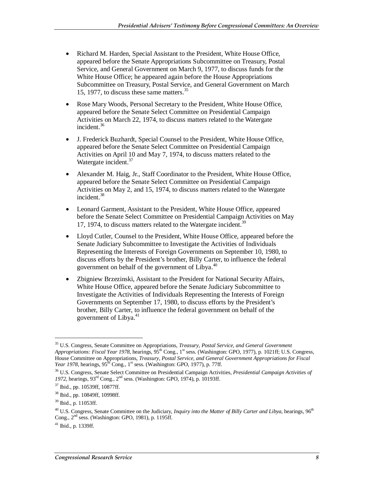- Richard M. Harden, Special Assistant to the President, White House Office, appeared before the Senate Appropriations Subcommittee on Treasury, Postal Service, and General Government on March 9, 1977, to discuss funds for the White House Office; he appeared again before the House Appropriations Subcommittee on Treasury, Postal Service, and General Government on March 15, 1977, to discuss these same matters.<sup>35</sup>
- Rose Mary Woods, Personal Secretary to the President, White House Office, appeared before the Senate Select Committee on Presidential Campaign Activities on March 22, 1974, to discuss matters related to the Watergate incident.<sup>36</sup>
- J. Frederick Buzhardt, Special Counsel to the President, White House Office, appeared before the Senate Select Committee on Presidential Campaign Activities on April 10 and May 7, 1974, to discuss matters related to the Watergate incident.<sup>37</sup>
- Alexander M. Haig, Jr., Staff Coordinator to the President, White House Office, appeared before the Senate Select Committee on Presidential Campaign Activities on May 2, and 15, 1974, to discuss matters related to the Watergate incident.<sup>38</sup>
- Leonard Garment, Assistant to the President, White House Office, appeared before the Senate Select Committee on Presidential Campaign Activities on May 17, 1974, to discuss matters related to the Watergate incident.<sup>39</sup>
- Lloyd Cutler, Counsel to the President, White House Office, appeared before the Senate Judiciary Subcommittee to Investigate the Activities of Individuals Representing the Interests of Foreign Governments on September 10, 1980, to discuss efforts by the President's brother, Billy Carter, to influence the federal government on behalf of the government of Libya.<sup>40</sup>
- Zbigniew Brzezinski, Assistant to the President for National Security Affairs, White House Office, appeared before the Senate Judiciary Subcommittee to Investigate the Activities of Individuals Representing the Interests of Foreign Governments on September 17, 1980, to discuss efforts by the President's brother, Billy Carter, to influence the federal government on behalf of the government of Libya.<sup>41</sup>

<sup>35</sup> U.S. Congress, Senate Committee on Appropriations, *Treasury, Postal Service, and General Government*  Appropriations: Fiscal Year 1978, hearings, 95<sup>th</sup> Cong., 1<sup>st</sup> sess. (Washington: GPO, 1977), p. 1021ff; U.S. Congress, House Committee on Appropriations, *Treasury, Postal Service, and General Government Appropriations for Fiscal Year 1978*, hearings, 95<sup>th</sup> Cong., 1<sup>st</sup> sess. (Washington: GPO, 1977), p. 77ff.

<sup>36</sup> U.S. Congress, Senate Select Committee on Presidential Campaign Activities, *Presidential Campaign Activities of 1972*, hearings, 93<sup>rd</sup> Cong., 2<sup>nd</sup> sess. (Washington: GPO, 1974), p. 10193ff. <sup>37</sup> Ibid., pp. 10539ff, 10877ff.

<sup>38</sup> Ibid., pp. 10849ff, 10998ff.

<sup>39</sup> Ibid., p. 11053ff.

 $^{40}$  U.S. Congress, Senate Committee on the Judiciary, *Inquiry into the Matter of Billy Carter and Libya*, hearings,  $96<sup>th</sup>$ Cong., 2nd sess. (Washington: GPO, 1981), p. 1195ff.

<sup>41</sup> Ibid., p. 1339ff.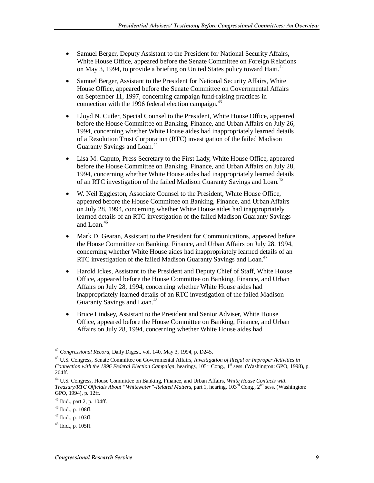- Samuel Berger, Deputy Assistant to the President for National Security Affairs, White House Office, appeared before the Senate Committee on Foreign Relations on May 3, 1994, to provide a briefing on United States policy toward Haiti.<sup>42</sup>
- Samuel Berger, Assistant to the President for National Security Affairs, White House Office, appeared before the Senate Committee on Governmental Affairs on September 11, 1997, concerning campaign fund-raising practices in connection with the 1996 federal election campaign. $43$
- Lloyd N. Cutler, Special Counsel to the President, White House Office, appeared before the House Committee on Banking, Finance, and Urban Affairs on July 26, 1994, concerning whether White House aides had inappropriately learned details of a Resolution Trust Corporation (RTC) investigation of the failed Madison Guaranty Savings and Loan.<sup>44</sup>
- Lisa M. Caputo, Press Secretary to the First Lady, White House Office, appeared before the House Committee on Banking, Finance, and Urban Affairs on July 28, 1994, concerning whether White House aides had inappropriately learned details of an RTC investigation of the failed Madison Guaranty Savings and Loan.<sup>45</sup>
- W. Neil Eggleston, Associate Counsel to the President, White House Office, appeared before the House Committee on Banking, Finance, and Urban Affairs on July 28, 1994, concerning whether White House aides had inappropriately learned details of an RTC investigation of the failed Madison Guaranty Savings and Loan.<sup>46</sup>
- Mark D. Gearan, Assistant to the President for Communications, appeared before the House Committee on Banking, Finance, and Urban Affairs on July 28, 1994, concerning whether White House aides had inappropriately learned details of an RTC investigation of the failed Madison Guaranty Savings and Loan.<sup>47</sup>
- Harold Ickes, Assistant to the President and Deputy Chief of Staff, White House Office, appeared before the House Committee on Banking, Finance, and Urban Affairs on July 28, 1994, concerning whether White House aides had inappropriately learned details of an RTC investigation of the failed Madison Guaranty Savings and Loan.<sup>48</sup>
- Bruce Lindsey, Assistant to the President and Senior Adviser, White House Office, appeared before the House Committee on Banking, Finance, and Urban Affairs on July 28, 1994, concerning whether White House aides had

<sup>42</sup> *Congressional Record*, Daily Digest, vol. 140, May 3, 1994, p. D245.

<sup>43</sup> U.S. Congress, Senate Committee on Governmental Affairs, *Investigation of Illegal or Improper Activities in Connection with the 1996 Federal Election Campaign*, hearings,  $105<sup>th</sup>$  Cong., 1<sup>st</sup> sess. (Washington: GPO, 1998), p. 204ff.

<sup>44</sup> U.S. Congress, House Committee on Banking, Finance, and Urban Affairs, *White House Contacts with Treasury/RTC Officials About "Whitewater"-Related Matters*, part 1, hearing, 103rd Cong., 2nd sess. (Washington: GPO, 1994), p. 12ff.

<sup>45</sup> Ibid., part 2, p. 104ff.

<sup>46</sup> Ibid., p. 108ff.

<sup>47</sup> Ibid., p. 103ff.

<sup>48</sup> Ibid., p. 105ff.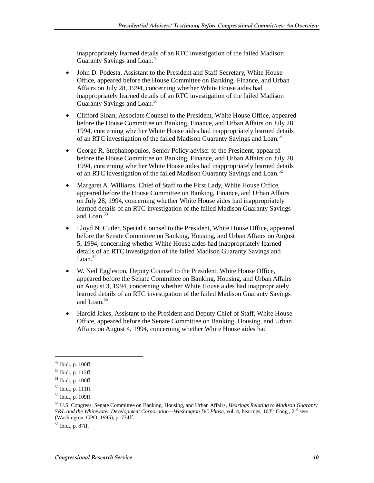inappropriately learned details of an RTC investigation of the failed Madison Guaranty Savings and Loan.<sup>49</sup>

- John D. Podesta, Assistant to the President and Staff Secretary, White House Office, appeared before the House Committee on Banking, Finance, and Urban Affairs on July 28, 1994, concerning whether White House aides had inappropriately learned details of an RTC investigation of the failed Madison Guaranty Savings and Loan.<sup>50</sup>
- Clifford Sloan, Associate Counsel to the President, White House Office, appeared before the House Committee on Banking, Finance, and Urban Affairs on July 28, 1994, concerning whether White House aides had inappropriately learned details of an RTC investigation of the failed Madison Guaranty Savings and Loan.<sup>51</sup>
- George R. Stephanopoulos, Senior Policy adviser to the President, appeared before the House Committee on Banking, Finance, and Urban Affairs on July 28, 1994, concerning whether White House aides had inappropriately learned details of an RTC investigation of the failed Madison Guaranty Savings and Loan.<sup>52</sup>
- Margaret A. Williams, Chief of Staff to the First Lady, White House Office, appeared before the House Committee on Banking, Finance, and Urban Affairs on July 28, 1994, concerning whether White House aides had inappropriately learned details of an RTC investigation of the failed Madison Guaranty Savings and Loan.<sup>53</sup>
- Lloyd N. Cutler, Special Counsel to the President, White House Office, appeared before the Senate Committee on Banking, Housing, and Urban Affairs on August 5, 1994, concerning whether White House aides had inappropriately learned details of an RTC investigation of the failed Madison Guaranty Savings and Loan. $54$
- W. Neil Eggleston, Deputy Counsel to the President, White House Office, appeared before the Senate Committee on Banking, Housing, and Urban Affairs on August 3, 1994, concerning whether White House aides had inappropriately learned details of an RTC investigation of the failed Madison Guaranty Savings and Loan.<sup>55</sup>
- Harold Ickes, Assistant to the President and Deputy Chief of Staff, White House Office, appeared before the Senate Committee on Banking, Housing, and Urban Affairs on August 4, 1994, concerning whether White House aides had

<u>.</u>

55 Ibid., p. 87ff.

 $49$  Ibid., p. 100ff.

<sup>50</sup> Ibid., p. 112ff.

<sup>51</sup> Ibid., p. 100ff.

<sup>52</sup> Ibid., p. 111ff.

<sup>53</sup> Ibid., p. 109ff.

<sup>54</sup> U.S. Congress, Senate Committee on Banking, Housing, and Urban Affairs, *Hearings Relating to Madison Guaranty S&L and the Whitewater Development Corporation—Washington DC Phase*, vol. 4, hearings, 103<sup>rd</sup> Cong., 2<sup>nd</sup> sess. (Washington: GPO, 1995), p. 734ff.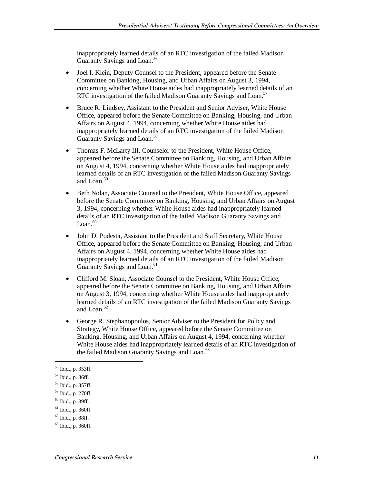inappropriately learned details of an RTC investigation of the failed Madison Guaranty Savings and Loan.<sup>56</sup>

- Joel I. Klein, Deputy Counsel to the President, appeared before the Senate Committee on Banking, Housing, and Urban Affairs on August 3, 1994, concerning whether White House aides had inappropriately learned details of an RTC investigation of the failed Madison Guaranty Savings and Loan.<sup>57</sup>
- Bruce R. Lindsey, Assistant to the President and Senior Adviser, White House Office, appeared before the Senate Committee on Banking, Housing, and Urban Affairs on August 4, 1994, concerning whether White House aides had inappropriately learned details of an RTC investigation of the failed Madison Guaranty Savings and Loan.<sup>58</sup>
- Thomas F. McLarty III, Counselor to the President, White House Office, appeared before the Senate Committee on Banking, Housing, and Urban Affairs on August 4, 1994, concerning whether White House aides had inappropriately learned details of an RTC investigation of the failed Madison Guaranty Savings and Loan.<sup>59</sup>
- Beth Nolan, Associate Counsel to the President, White House Office, appeared before the Senate Committee on Banking, Housing, and Urban Affairs on August 3, 1994, concerning whether White House aides had inappropriately learned details of an RTC investigation of the failed Madison Guaranty Savings and Loan. $60$
- John D. Podesta, Assistant to the President and Staff Secretary, White House Office, appeared before the Senate Committee on Banking, Housing, and Urban Affairs on August 4, 1994, concerning whether White House aides had inappropriately learned details of an RTC investigation of the failed Madison Guaranty Savings and Loan.<sup>61</sup>
- Clifford M. Sloan, Associate Counsel to the President, White House Office, appeared before the Senate Committee on Banking, Housing, and Urban Affairs on August 3, 1994, concerning whether White House aides had inappropriately learned details of an RTC investigation of the failed Madison Guaranty Savings and Loan.<sup>62</sup>
- George R. Stephanopoulos, Senior Adviser to the President for Policy and Strategy, White House Office, appeared before the Senate Committee on Banking, Housing, and Urban Affairs on August 4, 1994, concerning whether White House aides had inappropriately learned details of an RTC investigation of the failed Madison Guaranty Savings and Loan.<sup>63</sup>

<sup>56</sup> Ibid., p. 353ff.

<sup>57</sup> Ibid., p. 86ff.

<sup>58</sup> Ibid., p. 357ff.

<sup>59</sup> Ibid., p. 270ff.

 $60$  Ibid., p. 89ff.

 $61$  Ibid., p. 360ff.

 $62$  Ibid., p. 88ff.

<sup>63</sup> Ibid., p. 360ff.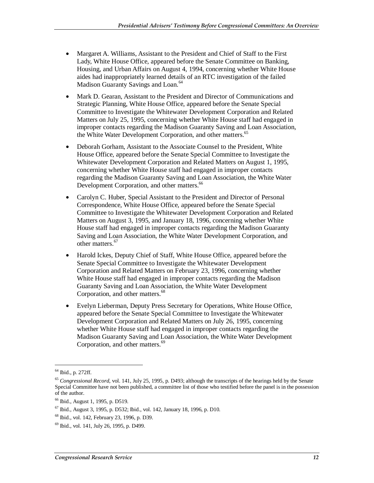- Margaret A. Williams, Assistant to the President and Chief of Staff to the First Lady, White House Office, appeared before the Senate Committee on Banking, Housing, and Urban Affairs on August 4, 1994, concerning whether White House aides had inappropriately learned details of an RTC investigation of the failed Madison Guaranty Savings and Loan.<sup>64</sup>
- Mark D. Gearan, Assistant to the President and Director of Communications and Strategic Planning, White House Office, appeared before the Senate Special Committee to Investigate the Whitewater Development Corporation and Related Matters on July 25, 1995, concerning whether White House staff had engaged in improper contacts regarding the Madison Guaranty Saving and Loan Association, the White Water Development Corporation, and other matters.<sup>65</sup>
- Deborah Gorham, Assistant to the Associate Counsel to the President, White House Office, appeared before the Senate Special Committee to Investigate the Whitewater Development Corporation and Related Matters on August 1, 1995, concerning whether White House staff had engaged in improper contacts regarding the Madison Guaranty Saving and Loan Association, the White Water Development Corporation, and other matters.<sup>66</sup>
- Carolyn C. Huber, Special Assistant to the President and Director of Personal Correspondence, White House Office, appeared before the Senate Special Committee to Investigate the Whitewater Development Corporation and Related Matters on August 3, 1995, and January 18, 1996, concerning whether White House staff had engaged in improper contacts regarding the Madison Guaranty Saving and Loan Association, the White Water Development Corporation, and other matters.<sup>67</sup>
- Harold Ickes, Deputy Chief of Staff, White House Office, appeared before the Senate Special Committee to Investigate the Whitewater Development Corporation and Related Matters on February 23, 1996, concerning whether White House staff had engaged in improper contacts regarding the Madison Guaranty Saving and Loan Association, the White Water Development Corporation, and other matters.<sup>68</sup>
- Evelyn Lieberman, Deputy Press Secretary for Operations, White House Office, appeared before the Senate Special Committee to Investigate the Whitewater Development Corporation and Related Matters on July 26, 1995, concerning whether White House staff had engaged in improper contacts regarding the Madison Guaranty Saving and Loan Association, the White Water Development Corporation, and other matters.<sup>69</sup>

<sup>64</sup> Ibid., p. 272ff.

<sup>65</sup> *Congressional Record*, vol. 141, July 25, 1995, p. D493; although the transcripts of the hearings held by the Senate Special Committee have not been published, a committee list of those who testified before the panel is in the possession of the author.

<sup>66</sup> Ibid., August 1, 1995, p. D519.

<sup>67</sup> Ibid., August 3, 1995, p. D532; Ibid., vol. 142, January 18, 1996, p. D10.

<sup>68</sup> Ibid., vol. 142, February 23, 1996, p. D39.

<sup>69</sup> Ibid., vol. 141, July 26, 1995, p. D499.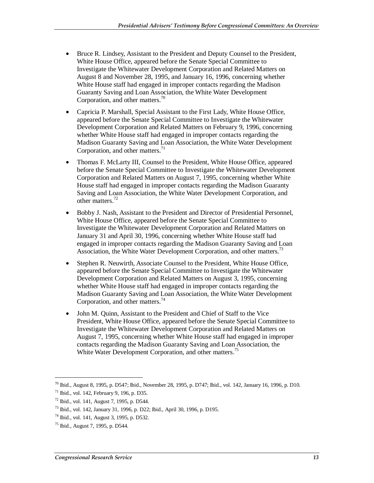- Bruce R. Lindsey, Assistant to the President and Deputy Counsel to the President, White House Office, appeared before the Senate Special Committee to Investigate the Whitewater Development Corporation and Related Matters on August 8 and November 28, 1995, and January 16, 1996, concerning whether White House staff had engaged in improper contacts regarding the Madison Guaranty Saving and Loan Association, the White Water Development Corporation, and other matters. $\frac{70}{2}$
- Capricia P. Marshall, Special Assistant to the First Lady, White House Office, appeared before the Senate Special Committee to Investigate the Whitewater Development Corporation and Related Matters on February 9, 1996, concerning whether White House staff had engaged in improper contacts regarding the Madison Guaranty Saving and Loan Association, the White Water Development Corporation, and other matters.<sup>71</sup>
- Thomas F. McLarty III, Counsel to the President, White House Office, appeared before the Senate Special Committee to Investigate the Whitewater Development Corporation and Related Matters on August 7, 1995, concerning whether White House staff had engaged in improper contacts regarding the Madison Guaranty Saving and Loan Association, the White Water Development Corporation, and other matters.<sup>72</sup>
- Bobby J. Nash, Assistant to the President and Director of Presidential Personnel, White House Office, appeared before the Senate Special Committee to Investigate the Whitewater Development Corporation and Related Matters on January 31 and April 30, 1996, concerning whether White House staff had engaged in improper contacts regarding the Madison Guaranty Saving and Loan Association, the White Water Development Corporation, and other matters.<sup>73</sup>
- Stephen R. Neuwirth, Associate Counsel to the President, White House Office, appeared before the Senate Special Committee to Investigate the Whitewater Development Corporation and Related Matters on August 3, 1995, concerning whether White House staff had engaged in improper contacts regarding the Madison Guaranty Saving and Loan Association, the White Water Development Corporation, and other matters. $74$
- John M. Quinn, Assistant to the President and Chief of Staff to the Vice President, White House Office, appeared before the Senate Special Committee to Investigate the Whitewater Development Corporation and Related Matters on August 7, 1995, concerning whether White House staff had engaged in improper contacts regarding the Madison Guaranty Saving and Loan Association, the White Water Development Corporation, and other matters.<sup>75</sup>

 $^{70}$  Ibid., August 8, 1995, p. D547; Ibid., November 28, 1995, p. D747; Ibid., vol. 142, January 16, 1996, p. D10.

<sup>71</sup> Ibid., vol. 142, February 9, 196, p. D35.

<sup>72</sup> Ibid., vol. 141, August 7, 1995, p. D544.

<sup>73</sup> Ibid., vol. 142, January 31, 1996, p. D22; Ibid., April 30, 1996, p. D195.

<sup>74</sup> Ibid., vol. 141, August 3, 1995, p. D532.

<sup>75</sup> Ibid., August 7, 1995, p. D544.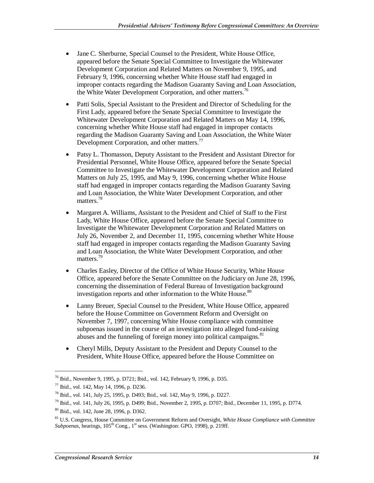- Jane C. Sherburne, Special Counsel to the President, White House Office, appeared before the Senate Special Committee to Investigate the Whitewater Development Corporation and Related Matters on November 9, 1995, and February 9, 1996, concerning whether White House staff had engaged in improper contacts regarding the Madison Guaranty Saving and Loan Association, the White Water Development Corporation, and other matters.<sup>76</sup>
- Patti Solis, Special Assistant to the President and Director of Scheduling for the First Lady, appeared before the Senate Special Committee to Investigate the Whitewater Development Corporation and Related Matters on May 14, 1996, concerning whether White House staff had engaged in improper contacts regarding the Madison Guaranty Saving and Loan Association, the White Water Development Corporation, and other matters.<sup>77</sup>
- Patsy L. Thomasson, Deputy Assistant to the President and Assistant Director for Presidential Personnel, White House Office, appeared before the Senate Special Committee to Investigate the Whitewater Development Corporation and Related Matters on July 25, 1995, and May 9, 1996, concerning whether White House staff had engaged in improper contacts regarding the Madison Guaranty Saving and Loan Association, the White Water Development Corporation, and other matters.78
- Margaret A. Williams, Assistant to the President and Chief of Staff to the First Lady, White House Office, appeared before the Senate Special Committee to Investigate the Whitewater Development Corporation and Related Matters on July 26, November 2, and December 11, 1995, concerning whether White House staff had engaged in improper contacts regarding the Madison Guaranty Saving and Loan Association, the White Water Development Corporation, and other matters.<sup>79</sup>
- Charles Easley, Director of the Office of White House Security, White House Office, appeared before the Senate Committee on the Judiciary on June 28, 1996, concerning the dissemination of Federal Bureau of Investigation background investigation reports and other information to the White House.<sup>80</sup>
- Lanny Breuer, Special Counsel to the President, White House Office, appeared before the House Committee on Government Reform and Oversight on November 7, 1997, concerning White House compliance with committee subpoenas issued in the course of an investigation into alleged fund-raising abuses and the funneling of foreign money into political campaigns.<sup>81</sup>
- Cheryl Mills, Deputy Assistant to the President and Deputy Counsel to the President, White House Office, appeared before the House Committee on

 $^{76}$  Ibid., November 9, 1995, p. D721; Ibid., vol. 142, February 9, 1996, p. D35.

 $77$  Ibid., vol. 142, May 14, 1996, p. D236.

<sup>78</sup> Ibid., vol. 141, July 25, 1995, p. D493; Ibid., vol. 142, May 9, 1996, p. D227.

<sup>&</sup>lt;sup>79</sup> Ibid., vol. 141, July 26, 1995, p. D499; Ibid., November 2, 1995, p. D707; Ibid., December 11, 1995, p. D774.

<sup>80</sup> Ibid., vol. 142, June 28, 1996, p. D362.

<sup>81</sup> U.S. Congress, House Committee on Government Reform and Oversight, *White House Compliance with Committee*  Subpoenas, hearings,  $105<sup>th</sup>$  Cong., 1<sup>st</sup> sess. (Washington: GPO, 1998), p. 219ff.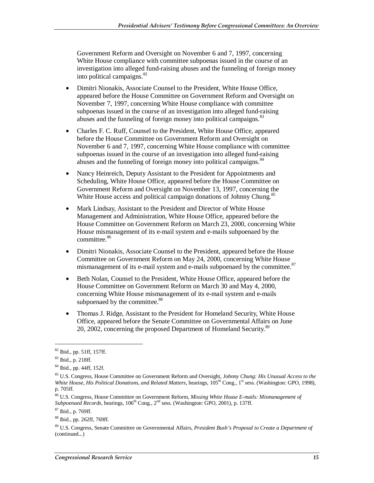Government Reform and Oversight on November 6 and 7, 1997, concerning White House compliance with committee subpoenas issued in the course of an investigation into alleged fund-raising abuses and the funneling of foreign money into political campaigns. $82$ 

- Dimitri Nionakis, Associate Counsel to the President, White House Office, appeared before the House Committee on Government Reform and Oversight on November 7, 1997, concerning White House compliance with committee subpoenas issued in the course of an investigation into alleged fund-raising abuses and the funneling of foreign money into political campaigns.<sup>83</sup>
- Charles F. C. Ruff, Counsel to the President, White House Office, appeared before the House Committee on Government Reform and Oversight on November 6 and 7, 1997, concerning White House compliance with committee subpoenas issued in the course of an investigation into alleged fund-raising abuses and the funneling of foreign money into political campaigns.<sup>84</sup>
- Nancy Heinreich, Deputy Assistant to the President for Appointments and Scheduling, White House Office, appeared before the House Committee on Government Reform and Oversight on November 13, 1997, concerning the White House access and political campaign donations of Johnny Chung.<sup>85</sup>
- Mark Lindsay, Assistant to the President and Director of White House Management and Administration, White House Office, appeared before the House Committee on Government Reform on March 23, 2000, concerning White House mismanagement of its e-mail system and e-mails subpoenaed by the committee.<sup>86</sup>
- Dimitri Nionakis, Associate Counsel to the President, appeared before the House Committee on Government Reform on May 24, 2000, concerning White House mismanagement of its e-mail system and e-mails subpoenaed by the committee.<sup>87</sup>
- Beth Nolan, Counsel to the President, White House Office, appeared before the House Committee on Government Reform on March 30 and May 4, 2000, concerning White House mismanagement of its e-mail system and e-mails subpoenaed by the committee.<sup>88</sup>
- Thomas J. Ridge, Assistant to the President for Homeland Security, White House Office, appeared before the Senate Committee on Governmental Affairs on June 20, 2002, concerning the proposed Department of Homeland Security.<sup>89</sup>

<sup>82</sup> Ibid., pp. 51ff, 157ff.

<sup>83</sup> Ibid., p. 218ff.

<sup>84</sup> Ibid., pp. 44ff, 152f.

<sup>85</sup> U.S. Congress, House Committee on Government Reform and Oversight, *Johnny Chung: His Unusual Access to the White House, His Political Donations, and Related Matters, hearings, 105<sup>th</sup> Cong., 1<sup>st</sup> sess. (Washington: GPO, 1998),* p. 705ff.

<sup>86</sup> U.S. Congress, House Committee on Government Reform, *Missing White House E-mails: Mismanagement of Subpoenaed Records*, hearings, 106<sup>th</sup> Cong., 2<sup>nd</sup> sess. (Washington: GPO, 2001), p. 137ff.

<sup>87</sup> Ibid., p. 769ff.

<sup>88</sup> Ibid., pp. 262ff, 769ff.

<sup>89</sup> U.S. Congress, Senate Committee on Governmental Affairs, *President Bush's Proposal to Create a Department of*  (continued...)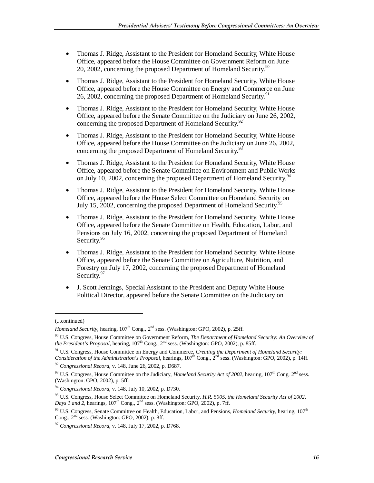- Thomas J. Ridge, Assistant to the President for Homeland Security, White House Office, appeared before the House Committee on Government Reform on June 20, 2002, concerning the proposed Department of Homeland Security.<sup>90</sup>
- Thomas J. Ridge, Assistant to the President for Homeland Security, White House Office, appeared before the House Committee on Energy and Commerce on June 26, 2002, concerning the proposed Department of Homeland Security.<sup>91</sup>
- Thomas J. Ridge, Assistant to the President for Homeland Security, White House Office, appeared before the Senate Committee on the Judiciary on June 26, 2002, concerning the proposed Department of Homeland Security.<sup>92</sup>
- Thomas J. Ridge, Assistant to the President for Homeland Security, White House Office, appeared before the House Committee on the Judiciary on June 26, 2002, concerning the proposed Department of Homeland Security.<sup>93</sup>
- Thomas J. Ridge, Assistant to the President for Homeland Security, White House Office, appeared before the Senate Committee on Environment and Public Works on July 10, 2002, concerning the proposed Department of Homeland Security.<sup>94</sup>
- Thomas J. Ridge, Assistant to the President for Homeland Security, White House Office, appeared before the House Select Committee on Homeland Security on July 15, 2002, concerning the proposed Department of Homeland Security.<sup>95</sup>
- Thomas J. Ridge, Assistant to the President for Homeland Security, White House Office, appeared before the Senate Committee on Health, Education, Labor, and Pensions on July 16, 2002, concerning the proposed Department of Homeland Security.<sup>96</sup>
- Thomas J. Ridge, Assistant to the President for Homeland Security, White House Office, appeared before the Senate Committee on Agriculture, Nutrition, and Forestry on July 17, 2002, concerning the proposed Department of Homeland Security.<sup>97</sup>
- J. Scott Jennings, Special Assistant to the President and Deputy White House Political Director, appeared before the Senate Committee on the Judiciary on

<sup>(...</sup>continued)

*Homeland Security*, hearing, 107<sup>th</sup> Cong., 2<sup>nd</sup> sess. (Washington: GPO, 2002), p. 25ff.

<sup>90</sup> U.S. Congress, House Committee on Government Reform, *The Department of Homeland Security: An Overview of the President's Proposal*, hearing,  $107<sup>th</sup>$  Cong.,  $2<sup>nd</sup>$  sess. (Washington: GPO, 2002), p. 85ff.

<sup>91</sup> U.S. Congress, House Committee on Energy and Commerce, *Creating the Department of Homeland Security: Consideration of the Administration's Proposal*, hearings, 107th Cong., 2nd sess. (Washington: GPO, 2002), p. 14ff.

<sup>92</sup> *Congressional Record*, v. 148, June 26, 2002, p. D687.

<sup>&</sup>lt;sup>93</sup> U.S. Congress, House Committee on the Judiciary, *Homeland Security Act of 2002*, hearing, 107<sup>th</sup> Cong. 2<sup>nd</sup> sess. (Washington: GPO, 2002), p. 5ff.

<sup>94</sup> *Congressional Record*, v. 148, July 10, 2002, p. D730.

<sup>95</sup> U.S. Congress, House Select Committee on Homeland Security, *H.R. 5005, the Homeland Security Act of 2002, Days 1 and 2*, hearings,  $107<sup>th</sup>$  Cong.,  $2<sup>nd</sup>$  sess. (Washington: GPO, 2002), p. 7ff.

<sup>&</sup>lt;sup>96</sup> U.S. Congress, Senate Committee on Health, Education, Labor, and Pensions, *Homeland Security*, hearing, 107<sup>th</sup> Cong., 2nd sess. (Washington: GPO, 2002), p. 8ff.

<sup>97</sup> *Congressional Record*, v. 148, July 17, 2002, p. D768.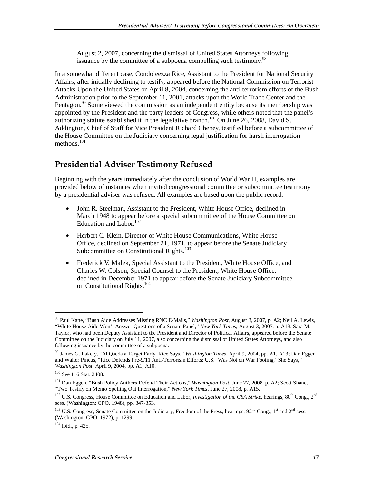August 2, 2007, concerning the dismissal of United States Attorneys following issuance by the committee of a subpoena compelling such testimony.<sup>98</sup>

In a somewhat different case, Condoleezza Rice, Assistant to the President for National Security Affairs, after initially declining to testify, appeared before the National Commission on Terrorist Attacks Upon the United States on April 8, 2004, concerning the anti-terrorism efforts of the Bush Administration prior to the September 11, 2001, attacks upon the World Trade Center and the Pentagon.<sup>99</sup> Some viewed the commission as an independent entity because its membership was appointed by the President and the party leaders of Congress, while others noted that the panel's authorizing statute established it in the legislative branch.<sup>100</sup> On June 26, 2008, David S. Addington, Chief of Staff for Vice President Richard Cheney, testified before a subcommittee of the House Committee on the Judiciary concerning legal justification for harsh interrogation methods. $101$ 

#### **Presidential Adviser Testimony Refused**

Beginning with the years immediately after the conclusion of World War II, examples are provided below of instances when invited congressional committee or subcommittee testimony by a presidential adviser was refused. All examples are based upon the public record.

- John R. Steelman, Assistant to the President, White House Office, declined in March 1948 to appear before a special subcommittee of the House Committee on Education and Labor. $102$
- Herbert G. Klein, Director of White House Communications, White House Office, declined on September 21, 1971, to appear before the Senate Judiciary Subcommittee on Constitutional Rights.<sup>103</sup>
- Frederick V. Malek, Special Assistant to the President, White House Office, and Charles W. Colson, Special Counsel to the President, White House Office, declined in December 1971 to appear before the Senate Judiciary Subcommittee on Constitutional Rights.<sup>104</sup>

<sup>98</sup> Paul Kane, "Bush Aide Addresses Missing RNC E-Mails," *Washington Post*, August 3, 2007, p. A2; Neil A. Lewis, "White House Aide Won't Answer Questions of a Senate Panel," *New York Times*, August 3, 2007, p. A13. Sara M. Taylor, who had been Deputy Assistant to the President and Director of Political Affairs, appeared before the Senate Committee on the Judiciary on July 11, 2007, also concerning the dismissal of United States Attorneys, and also following issuance by the committee of a subpoena.

<sup>99</sup> James G. Lakely, "Al Qaeda a Target Early, Rice Says," *Washington Times*, April 9, 2004, pp. A1, A13; Dan Eggen and Walter Pincus, "Rice Defends Pre-9/11 Anti-Terrorism Efforts: U.S. 'Was Not on War Footing,' She Says," *Washington Post*, April 9, 2004, pp. A1, A10.

<sup>&</sup>lt;sup>100</sup> See 116 Stat. 2408.

<sup>101</sup> Dan Eggen, "Bush Policy Authors Defend Their Actions," *Washington Post*, June 27, 2008, p. A2; Scott Shane, "Two Testify on Memo Spelling Out Interrogation," *New York Times*, June 27, 2008, p. A15.

<sup>&</sup>lt;sup>102</sup> U.S. Congress, House Committee on Education and Labor, *Investigation of the GSA Strike*, hearings, 80<sup>th</sup> Cong., 2<sup>nd</sup> sess. (Washington: GPO, 1948), pp. 347-353.

<sup>&</sup>lt;sup>103</sup> U.S. Congress, Senate Committee on the Judiciary, Freedom of the Press, hearings,  $92<sup>nd</sup> Cong., 1<sup>st</sup>$  and  $2<sup>nd</sup>$  sess. (Washington: GPO, 1972), p. 1299.

 $104$  Ibid., p. 425.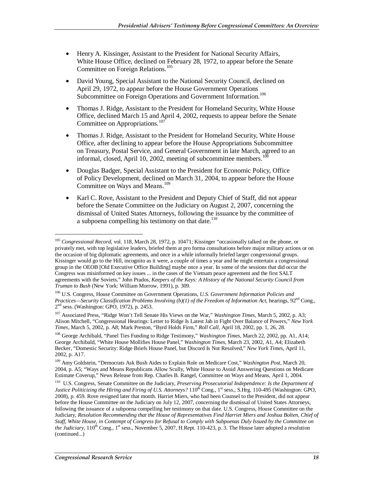- Henry A. Kissinger, Assistant to the President for National Security Affairs, White House Office, declined on February 28, 1972, to appear before the Senate Committee on Foreign Relations.<sup>105</sup>
- David Young, Special Assistant to the National Security Council, declined on April 29, 1972, to appear before the House Government Operations Subcommittee on Foreign Operations and Government Information.<sup>106</sup>
- Thomas J. Ridge, Assistant to the President for Homeland Security, White House Office, declined March 15 and April 4, 2002, requests to appear before the Senate Committee on Appropriations.<sup>107</sup>
- Thomas J. Ridge, Assistant to the President for Homeland Security, White House Office, after declining to appear before the House Appropriations Subcommittee on Treasury, Postal Service, and General Government in late March, agreed to an informal, closed, April 10, 2002, meeting of subcommittee members.<sup>108</sup>
- Douglas Badger, Special Assistant to the President for Economic Policy, Office of Policy Development, declined on March 31, 2004, to appear before the House Committee on Ways and Means.<sup>109</sup>
- Karl C. Rove, Assistant to the President and Deputy Chief of Staff, did not appear before the Senate Committee on the Judiciary on August 2, 2007, concerning the dismissal of United States Attorneys, following the issuance by the committee of a subpoena compelling his testimony on that date. $110$

<sup>105</sup> *Congressional Record*, vol. 118, March 28, 1972, p. 10471; Kissinger "occasionally talked on the phone, or privately met, with top legislative leaders, briefed them at pro forma consultations before major military actions or on the occasion of big diplomatic agreements, and once in a while informally briefed larger congressional groups. Kissinger would go to the Hill, incognito as it were, a couple of times a year and he might entertain a congressional group in the OEOB [Old Executive Office Building] maybe once a year. In some of the sessions that did occur the Congress was misinformed on key issues ... in the cases of the Vietnam peace agreement and the first SALT agreements with the Soviets." John Prados, *Keepers of the Keys: A History of the National Security Council from Truman to Bush* (New York: William Morrow, 1991), p. 309.

<sup>106</sup> U.S. Congress, House Committee on Government Operations, *U.S. Government Information Policies and Practices—Security Classification Problems Involving*  $(b)(1)$  *of the Freedom of Information Act*, hearings,  $92<sup>nd</sup>$  Cong.,  $2<sup>nd</sup>$  sess. (Washington: GPO, 1972), p. 2453.

<sup>107</sup> Associated Press, "Ridge Won't Tell Senate His Views on the War," *Washington Times*, March 5, 2002, p. A3; Alison Mitchell, "Congressional Hearings: Letter to Ridge Is Latest Jab in Fight Over Balance of Powers," *New York Times*, March 5, 2002, p. A8; Mark Preston, "Byrd Holds Firm," *Roll Call*, April 18, 2002, pp. 1, 26, 28.

<sup>108</sup> George Archibald, "Panel Ties Funding to Ridge Testimony," *Washington Times*, March 22, 2002, pp. A1, A14; George Archibald, "White House Mollifies House Panel," *Washington Times*, March 23, 2002, A1, A4; Elizabeth Becker, "Domestic Security: Ridge Briefs House Panel, but Discord Is Not Resolved," *New York Times*, April 11, 2002, p. A17.

<sup>109</sup> Amy Goldstein, "Democrats Ask Bush Aides to Explain Role on Medicare Cost," *Washington Post*, March 20, 2004, p. A5; "Ways and Means Republicans Allow Scully, White House to Avoid Answering Questions on Medicare Estimate Coverup," News Release from Rep. Charles B. Rangel, Committee on Ways and Means, April 1, 2004.

<sup>110</sup> U.S. Congress, Senate Committee on the Judiciary, *Preserving Prosecutorial Independence: Is the Department of Justice Politicizing the Hiring and Firing of U.S. Attorneys?* 110<sup>th</sup> Cong., 1<sup>st</sup> sess., S.Hrg. 110-495 (Washington: GPO, 2008), p. 459. Rove resigned later that month. Harriet Miers, who had been Counsel to the President, did not appear before the House Committee on the Judiciary on July 12, 2007, concerning the dismissal of United States Attorneys, following the issuance of a subpoena compelling her testimony on that date. U.S. Congress, House Committee on the Judiciary, *Resolution Recommending that the House of Representatives Find Harriet Miers and Joshua Bolten, Chief of Staff, White House, in Contempt of Congress for Refusal to Comply with Subpoenas Duly Issued by the Committee on the Judiciary*, 110<sup>th</sup> Cong., 1<sup>st</sup> sess., November 5, 2007, H.Rept. 110-423, p. 3. The House later adopted a resolution (continued...)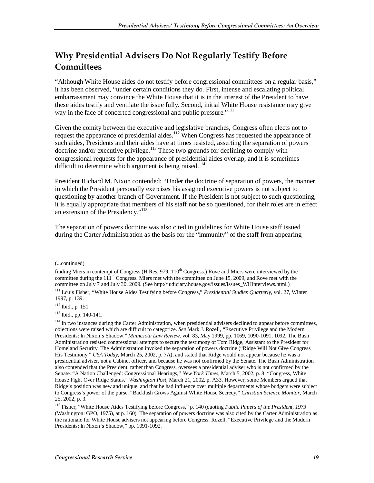## **Why Presidential Advisers Do Not Regularly Testify Before Committees**

"Although White House aides do not testify before congressional committees on a regular basis," it has been observed, "under certain conditions they do. First, intense and escalating political embarrassment may convince the White House that it is in the interest of the President to have these aides testify and ventilate the issue fully. Second, initial White House resistance may give way in the face of concerted congressional and public pressure."<sup>111</sup>

Given the comity between the executive and legislative branches, Congress often elects not to request the appearance of presidential aides.<sup>112</sup> When Congress has requested the appearance of such aides, Presidents and their aides have at times resisted, asserting the separation of powers doctrine and/or executive privilege.<sup>113</sup> These two grounds for declining to comply with congressional requests for the appearance of presidential aides overlap, and it is sometimes difficult to determine which argument is being raised.<sup>114</sup>

President Richard M. Nixon contended: "Under the doctrine of separation of powers, the manner in which the President personally exercises his assigned executive powers is not subject to questioning by another branch of Government. If the President is not subject to such questioning, it is equally appropriate that members of his staff not be so questioned, for their roles are in effect an extension of the Presidency."<sup>115</sup>

The separation of powers doctrine was also cited in guidelines for White House staff issued during the Carter Administration as the basis for the "immunity" of the staff from appearing

<sup>(...</sup>continued)

finding Miers in contempt of Congress (H.Res. 979,  $110<sup>th</sup>$  Congress.) Rove and Miers were interviewed by the committee during the 111<sup>th</sup> Congress. Miers met with the committee on June 15, 2009, and Rove met with the committee on July 7 and July 30, 2009. (See http://judiciary.house.gov/issues/issues\_WHInterviews.html.)

<sup>111</sup> Louis Fisher, "White House Aides Testifying before Congress," *Presidential Studies Quarterly*, vol. 27, Winter 1997, p. 139.

<sup>112</sup> Ibid., p. 151.

 $113$  Ibid., pp. 140-141.

<sup>&</sup>lt;sup>114</sup> In two instances during the Carter Administration, when presidential advisers declined to appear before committees, objections were raised which are difficult to categorize. *See* Mark J. Rozell, "Executive Privilege and the Modern Presidents: In Nixon's Shadow," *Minnesota Law Review*, vol. 83, May 1999, pp. 1069, 1090-1091, 1092. The Bush Administration resisted congressional attempts to secure the testimony of Tom Ridge, Assistant to the President for Homeland Security. The Administration invoked the separation of powers doctrine ("Ridge Will Not Give Congress His Testimony," *USA Today*, March 25, 2002, p. 7A), and stated that Ridge would not appear because he was a presidential adviser, not a Cabinet officer, and because he was not confirmed by the Senate. The Bush Administration also contended that the President, rather than Congress, oversees a presidential adviser who is not confirmed by the Senate. "A Nation Challenged: Congressional Hearings," *New York Times*, March 5, 2002, p. 8; "Congress, White House Fight Over Ridge Status," *Washington Post*, March 21, 2002, p. A33. However, some Members argued that Ridge's position was new and unique, and that he had influence over multiple departments whose budgets were subject to Congress's power of the purse. "Backlash Grows Against White House Secrecy," *Christian Science Monitor*, March 25, 2002, p. 3.

<sup>115</sup> Fisher, "White House Aides Testifying before Congress," p. 140 (quoting *Public Papers of the President*, *1973* (Washington: GPO, 1975), at p. 160). The separation of powers doctrine was also cited by the Carter Administration as the rationale for White House advisers not appearing before Congress. Rozell, "Executive Privilege and the Modern Presidents: In Nixon's Shadow," pp. 1091-1092.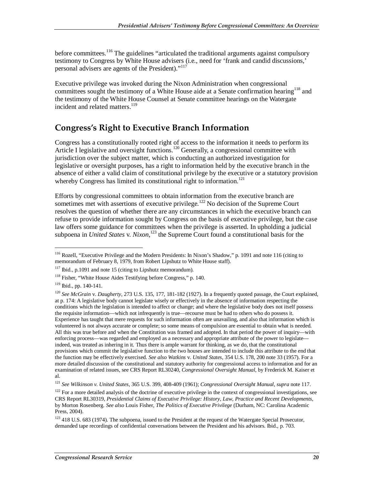before committees.<sup>116</sup> The guidelines "articulated the traditional arguments against compulsory testimony to Congress by White House advisers (i.e., need for 'frank and candid discussions,' personal advisers are agents of the President)."<sup>117</sup>

Executive privilege was invoked during the Nixon Administration when congressional committees sought the testimony of a White House aide at a Senate confirmation hearing<sup>118</sup> and the testimony of the White House Counsel at Senate committee hearings on the Watergate incident and related matters.<sup>119</sup>

#### **Congress's Right to Executive Branch Information**

Congress has a constitutionally rooted right of access to the information it needs to perform its Article I legislative and oversight functions.<sup>120</sup> Generally, a congressional committee with jurisdiction over the subject matter, which is conducting an authorized investigation for legislative or oversight purposes, has a right to information held by the executive branch in the absence of either a valid claim of constitutional privilege by the executive or a statutory provision whereby Congress has limited its constitutional right to information.<sup>121</sup>

Efforts by congressional committees to obtain information from the executive branch are sometimes met with assertions of executive privilege.<sup>122</sup> No decision of the Supreme Court resolves the question of whether there are any circumstances in which the executive branch can refuse to provide information sought by Congress on the basis of executive privilege, but the case law offers some guidance for committees when the privilege is asserted. In upholding a judicial subpoena in *United States* v. *Nixon*,<sup>123</sup> the Supreme Court found a constitutional basis for the

<sup>116</sup> Rozell, "Executive Privilege and the Modern Presidents: In Nixon's Shadow," p. 1091 and note 116 (citing to memorandum of February 8, 1979, from Robert Lipshutz to White House staff).

 $117$  Ibid., p.1091 and note 15 (citing to Lipshutz memorandum).

<sup>118</sup> Fisher, "White House Aides Testifying before Congress," p. 140.

<sup>119</sup> Ibid., pp. 140-141.

<sup>120</sup> *See McGrain* v. *Daugherty*, 273 U.S. 135, 177, 181-182 (1927). In a frequently quoted passage, the Court explained, at p. 174: A legislative body cannot legislate wisely or effectively in the absence of information respecting the conditions which the legislation is intended to affect or change; and where the legislative body does not itself possess the requisite information—which not infrequently is true—recourse must be had to others who do possess it. Experience has taught that mere requests for such information often are unavailing, and also that information which is volunteered is not always accurate or complete; so some means of compulsion are essential to obtain what is needed. All this was true before and when the Constitution was framed and adopted. In that period the power of inquiry—with enforcing process—was regarded and employed as a necessary and appropriate attribute of the power to legislate indeed, was treated as inhering in it. Thus there is ample warrant for thinking, as we do, that the constitutional provisions which commit the legislative function to the two houses are intended to include this attribute to the end that the function may be effectively exercised. *See also Watkins* v. *United States*, 354 U.S. 178, 200 note 33 (1957). For a more detailed discussion of the constitutional and statutory authority for congressional access to information and for an examination of related issues, see CRS Report RL30240, *Congressional Oversight Manual*, by Frederick M. Kaiser et al.

<sup>121</sup> *See Wilkinson v. United States*, 365 U.S. 399, 408-409 (1961); *Congressional Oversight Manual*, *supra* note 117.

 $122$  For a more detailed analysis of the doctrine of executive privilege in the context of congressional investigations, see CRS Report RL30319, *Presidential Claims of Executive Privilege: History, Law, Practice and Recent Developments*, by Morton Rosenberg. *See also* Louis Fisher, *The Politics of Executive Privilege* (Durham, NC: Carolina Academic Press, 2004).

<sup>&</sup>lt;sup>123</sup> 418 U.S. 683 (1974). The subpoena, issued to the President at the request of the Watergate Special Prosecutor, demanded tape recordings of confidential conversations between the President and his advisors. Ibid., p. 703.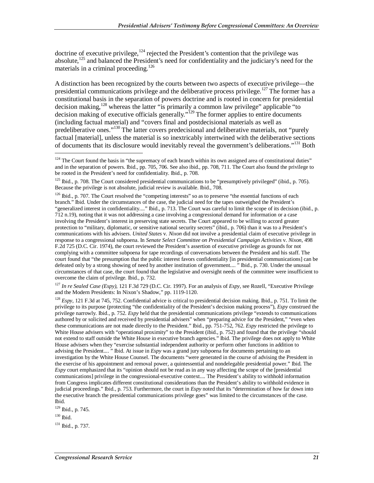doctrine of executive privilege, $124$  rejected the President's contention that the privilege was absolute,<sup>125</sup> and balanced the President's need for confidentiality and the judiciary's need for the materials in a criminal proceeding.<sup>126</sup>

A distinction has been recognized by the courts between two aspects of executive privilege—the presidential communications privilege and the deliberative process privilege.<sup>127</sup> The former has a constitutional basis in the separation of powers doctrine and is rooted in concern for presidential decision making,<sup>128</sup> whereas the latter "is primarily a common law privilege" applicable "to decision making of executive officials generally."<sup>129</sup> The former applies to entire documents (including factual material) and "covers final and postdecisional materials as well as predeliberative ones."<sup>130</sup> The latter covers predecisional and deliberative materials, not "purely factual [material], unless the material is so inextricably intertwined with the deliberative sections of documents that its disclosure would inevitably reveal the government's deliberations."<sup>131</sup> Both

 $126$  Ibid., p. 707. The Court resolved the "competing interests" so as to preserve "the essential functions of each branch." Ibid. Under the circumstances of the case, the judicial need for the tapes outweighed the President's "generalized interest in confidentiality...." Ibid., p. 713. The Court was careful to limit the scope of its decision (ibid., p. 712 n.19), noting that it was not addressing a case involving a congressional demand for information or a case involving the President's interest in preserving state secrets. The Court appeared to be willing to accord greater protection to "military, diplomatic, or sensitive national security secrets" (ibid., p. 706) than it was to a President's communications with his advisers. *United States* v. *Nixon* did not involve a presidential claim of executive privilege in response to a congressional subpoena. In *Senate Select Committee on Presidential Campaign Activities* v. *Nixon*, 498 F.2d 725 (D.C. Cir. 1974), the court reviewed the President's assertion of executive privilege as grounds for not complying with a committee subpoena for tape recordings of conversations between the President and his staff. The court found that "the presumption that the public interest favors confidentiality [in presidential communications] can be defeated only by a strong showing of need by another institution of government.... " Ibid., p. 730. Under the unusual circumstances of that case, the court found that the legislative and oversight needs of the committee were insufficient to overcome the claim of privilege. Ibid., p. 732.

<sup>127</sup> *In re Sealed Case (Espy)*, 121 F.3d 729 (D.C. Cir. 1997). For an analysis of *Espy*, see Rozell, "Executive Privilege and the Modern Presidents: In Nixon's Shadow," pp. 1119-1120.

<sup>128</sup> *Espy*, 121 F.3d at 745, 752. Confidential advice is critical to presidential decision making. Ibid., p. 751. To limit the privilege to its purpose (protecting "the confidentiality of the President's decision making process"), *Espy* construed the privilege narrowly. Ibid., p. 752. *Espy* held that the presidential communications privilege "extends to communications authored by or solicited and received by presidential advisers" when "preparing advice for the President," "even when these communications are not made directly to the President." Ibid., pp. 751-752, 762. *Espy* restricted the privilege to White House advisers with "operational proximity" to the President (ibid., p. 752) and found that the privilege "should not extend to staff outside the White House in executive branch agencies." Ibid. The privilege does not apply to White House advisers when they "exercise substantial independent authority or perform other functions in addition to advising the President.... " Ibid. At issue in *Espy* was a grand jury subpoena for documents pertaining to an investigation by the White House Counsel. The documents "were generated in the course of advising the President in the exercise of his appointment and removal power, a quintessential and nondelegable presidential power." Ibid. The *Espy* court emphasized that its "opinion should not be read as in any way affecting the scope of the [presidential communications] privilege in the congressional-executive context.... The President's ability to withhold information from Congress implicates different constitutional considerations than the President's ability to withhold evidence in judicial proceedings." Ibid., p. 753. Furthermore, the court in *Espy* noted that its "determination of how far down into the executive branch the presidential communications privilege goes" was limited to the circumstances of the case. Ibid.

<sup>&</sup>lt;sup>124</sup> The Court found the basis in "the supremacy of each branch within its own assigned area of constitutional duties" and in the separation of powers. Ibid., pp. 705, 706. See also ibid., pp. 708, 711. The Court also found the privilege to be rooted in the President's need for confidentiality. Ibid., p. 708.

<sup>&</sup>lt;sup>125</sup> Ibid., p. 708. The Court considered presidential communications to be "presumptively privileged" (ibid., p. 705). Because the privilege is not absolute, judicial review is available. Ibid., 708.

<sup>129</sup> Ibid., p. 745.

 $130$  Ibid.

 $131$  Ibid., p. 737.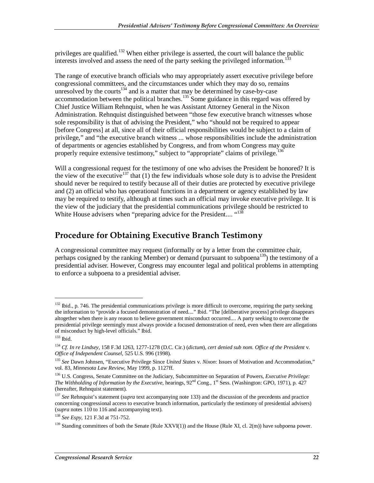privileges are qualified.<sup>132</sup> When either privilege is asserted, the court will balance the public interests involved and assess the need of the party seeking the privileged information.<sup>133</sup>

The range of executive branch officials who may appropriately assert executive privilege before congressional committees, and the circumstances under which they may do so, remains unresolved by the courts $134$  and is a matter that may be determined by case-by-case accommodation between the political branches.<sup>135</sup> Some guidance in this regard was offered by Chief Justice William Rehnquist, when he was Assistant Attorney General in the Nixon Administration. Rehnquist distinguished between "those few executive branch witnesses whose sole responsibility is that of advising the President," who "should not be required to appear [before Congress] at all, since all of their official responsibilities would be subject to a claim of privilege," and "the executive branch witness ... whose responsibilities include the administration of departments or agencies established by Congress, and from whom Congress may quite properly require extensive testimony," subject to "appropriate" claims of privilege.<sup>136</sup>

Will a congressional request for the testimony of one who advises the President be honored? It is the view of the executive<sup>137</sup> that  $(1)$  the few individuals whose sole duty is to advise the President should never be required to testify because all of their duties are protected by executive privilege and (2) an official who has operational functions in a department or agency established by law may be required to testify, although at times such an official may invoke executive privilege. It is the view of the judiciary that the presidential communications privilege should be restricted to White House advisers when "preparing advice for the President.... "<sup>138</sup>

#### **Procedure for Obtaining Executive Branch Testimony**

A congressional committee may request (informally or by a letter from the committee chair, perhaps cosigned by the ranking Member) or demand (pursuant to subpoena<sup>139</sup>) the testimony of a presidential adviser. However, Congress may encounter legal and political problems in attempting to enforce a subpoena to a presidential adviser.

 $132$  Ibid., p. 746. The presidential communications privilege is more difficult to overcome, requiring the party seeking the information to "provide a focused demonstration of need...." Ibid. "The [deliberative process] privilege disappears altogether when there is any reason to believe government misconduct occurred.... A party seeking to overcome the presidential privilege seemingly must always provide a focused demonstration of need, even when there are allegations of misconduct by high-level officials." Ibid.

 $133$  Ibid.

<sup>134</sup> *Cf. In re Lindsey*, 158 F.3d 1263, 1277-1278 (D.C. Cir.) (*dictum*), *cert denied sub nom. Office of the President* v. *Office of Independent Counsel*, 525 U.S. 996 (1998).

<sup>135</sup> *See* Dawn Johnsen, "Executive Privilege Since *United States* v. *Nixon*: Issues of Motivation and Accommodation," vol. 83, *Minnesota Law Review*, May 1999, p. 1127ff.

<sup>136</sup> U.S. Congress, Senate Committee on the Judiciary, Subcommittee on Separation of Powers, *Executive Privilege: The Withholding of Information by the Executive*, hearings, 92nd Cong., 1st Sess. (Washington: GPO, 1971), p. 427 (hereafter, Rehnquist statement).

<sup>&</sup>lt;sup>137</sup> See Rehnquist's statement (*supra* text accompanying note 133) and the discussion of the precedents and practice concerning congressional access to executive branch information, particularly the testimony of presidential advisers) (*supra* notes 110 to 116 and accompanying text). 138 *See Espy*, 121 F.3d at 751-752.

<sup>&</sup>lt;sup>139</sup> Standing committees of both the Senate (Rule XXVI(1)) and the House (Rule XI, cl. 2(m)) have subpoena power.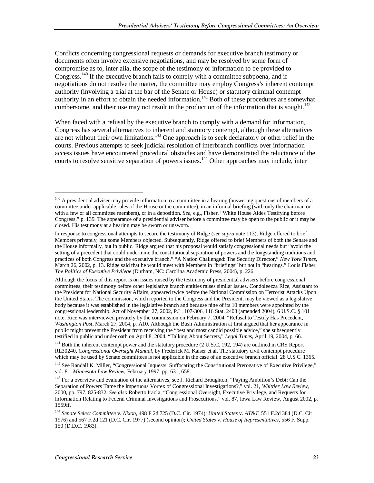Conflicts concerning congressional requests or demands for executive branch testimony or documents often involve extensive negotiations, and may be resolved by some form of compromise as to, inter alia, the scope of the testimony or information to be provided to Congress.<sup>140</sup> If the executive branch fails to comply with a committee subpoena, and if negotiations do not resolve the matter, the committee may employ Congress's inherent contempt authority (involving a trial at the bar of the Senate or House) or statutory criminal contempt authority in an effort to obtain the needed information.<sup>141</sup> Both of these procedures are somewhat cumbersome, and their use may not result in the production of the information that is sought.<sup>142</sup>

When faced with a refusal by the executive branch to comply with a demand for information, Congress has several alternatives to inherent and statutory contempt, although these alternatives are not without their own limitations.<sup>143</sup> One approach is to seek declaratory or other relief in the courts. Previous attempts to seek judicial resolution of interbranch conflicts over information access issues have encountered procedural obstacles and have demonstrated the reluctance of the courts to resolve sensitive separation of powers issues.<sup>144</sup> Other approaches may include, inter

<sup>&</sup>lt;sup>140</sup> A presidential adviser may provide information to a committee in a hearing (answering questions of members of a committee under applicable rules of the House or the committee), in an informal briefing (with only the chairman or with a few or all committee members), or in a deposition. *See*, e.g., Fisher, "White House Aides Testifying before Congress," p. 139. The appearance of a presidential adviser before a committee may be open to the public or it may be closed. His testimony at a hearing may be sworn or unsworn.

In response to congressional attempts to secure the testimony of Ridge (*see supra* note 113), Ridge offered to brief Members privately, but some Members objected. Subsequently, Ridge offered to brief Members of both the Senate and the House informally, but in public. Ridge argued that his proposal would satisfy congressional needs but "avoid the setting of a precedent that could undermine the constitutional separation of powers and the longstanding traditions and practices of both Congress and the executive branch." "A Nation Challenged: The Security Director," *New York Times*, March 26, 2002, p. 13. Ridge said that he would meet with Members in "briefings" but not in "hearings." Louis Fisher, *The Politics of Executive Privilege* (Durham, NC: Carolina Academic Press, 2004), p. 226.

Although the focus of this report is on issues raised by the testimony of presidential advisers before congressional committees, their testimony before other legislative branch entities raises similar issues. Condoleezza Rice, Assistant to the President for National Security Affairs, appeared twice before the National Commission on Terrorist Attacks Upon the United States. The commission, which reported to the Congress and the President, may be viewed as a legislative body because it was established in the legislative branch and because nine of its 10 members were appointed by the congressional leadership. Act of November 27, 2002, P.L. 107-306, 116 Stat. 2408 (amended 2004), 6 U.S.C. § 101 note. Rice was interviewed privately by the commission on February 7, 2004. "Refusal to Testify Has Precedent," *Washington Post*, March 27, 2004, p. A10. Although the Bush Administration at first argued that her appearance in public might prevent the President from receiving the "best and most candid possible advice," she subsequently testified in public and under oath on April 8, 2004. "Talking About Secrets," *Legal Times*, April 19, 2004, p. 66.

<sup>&</sup>lt;sup>141</sup> Both the inherent contempt power and the statutory procedure (2 U.S.C. 192, 194) are outlined in CRS Report RL30240, *Congressional Oversight Manual*, by Frederick M. Kaiser et al. The statutory civil contempt procedure which may be used by Senate committees is not applicable in the case of an executive branch official. 28 U.S.C. 1365.

<sup>&</sup>lt;sup>142</sup> See Randall K. Miller, "Congressional Inquests: Suffocating the Constitutional Prerogative of Executive Privilege," vol. 81, *Minnesota Law Review*, February 1997, pp. 631, 658.

<sup>&</sup>lt;sup>143</sup> For a overview and evaluation of the alternatives, see J. Richard Broughton, "Paying Ambition's Debt: Can the Separation of Powers Tame the Impetuous Vortex of Congressional Investigations?," vol. 21, *Whittier Law Review*, 2000, pp. 797, 825-832. *See also* Roberto Iraola, "Congressional Oversight, Executive Privilege, and Requests for Information Relating to Federal Criminal Investigations and Prosecutions," vol. 87, Iowa Law Review, August 2002, p. 1559ff.

<sup>144</sup> *Senate Select Committee* v. *Nixon*, 498 F.2d 725 (D.C. Cir. 1974); *United States* v. *AT&T*, 551 F.2d 384 (D.C. Cir. 1976) and 567 F.2d 121 (D.C. Cir. 1977) (second opinion); *United States* v. *House of Representatives*, 556 F. Supp. 150 (D.D.C. 1983).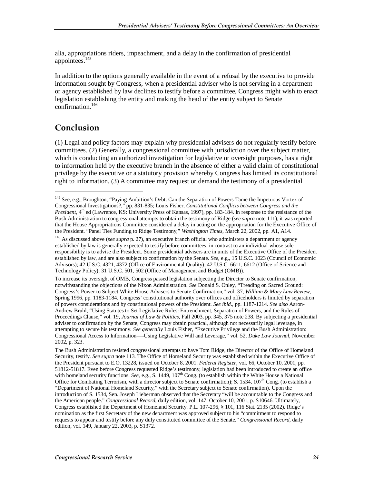alia, appropriations riders, impeachment, and a delay in the confirmation of presidential appointees.<sup>145</sup>

In addition to the options generally available in the event of a refusal by the executive to provide information sought by Congress, when a presidential adviser who is not serving in a department or agency established by law declines to testify before a committee, Congress might wish to enact legislation establishing the entity and making the head of the entity subject to Senate confirmation<sup>146</sup>

#### **Conclusion**

1

(1) Legal and policy factors may explain why presidential advisers do not regularly testify before committees. (2) Generally, a congressional committee with jurisdiction over the subject matter, which is conducting an authorized investigation for legislative or oversight purposes, has a right to information held by the executive branch in the absence of either a valid claim of constitutional privilege by the executive or a statutory provision whereby Congress has limited its constitutional right to information. (3) A committee may request or demand the testimony of a presidential

To increase its oversight of OMB, Congress passed legislation subjecting the Director to Senate confirmation, notwithstanding the objections of the Nixon Administration. *See* Donald S. Onley, "Treading on Sacred Ground: Congress's Power to Subject White House Advisers to Senate Confirmation," vol. 37, *William & Mary Law Review*, Spring 1996, pp. 1183-1184. Congress' constitutional authority over offices and officeholders is limited by separation of powers considerations and by constitutional powers of the President. *See ibid*., pp. 1187-1214. *See also* Aaron-Andrew Bruhl, "Using Statutes to Set Legislative Rules: Entrenchment, Separation of Powers, and the Rules of Proceedings Clause," vol. 19, *Journal of Law & Politics*, Fall 2003, pp. 345, 375 note 238. By subjecting a presidential adviser to confirmation by the Senate, Congress may obtain practical, although not necessarily legal leverage, in attempting to secure his testimony. *See generally* Louis Fisher, "Executive Privilege and the Bush Administration: Congressional Access to Information—-Using Legislative Will and Leverage," vol. 52, *Duke Law Journal*, November 2002, p. 323.

The Bush Administration resisted congressional attempts to have Tom Ridge, the Director of the Office of Homeland Security, testify. *See supra* note 113. The Office of Homeland Security was established within the Executive Office of the President pursuant to E.O. 13228, issued on October 8, 2001. *Federal Register*, vol. 66, October 10, 2001, pp. 51812-51817. Even before Congress requested Ridge's testimony, legislation had been introduced to create an office with homeland security functions. *See*, e.g., S. 1449, 107<sup>th</sup> Cong. (to establish within the White House a National Office for Combating Terrorism, with a director subject to Senate confirmation); S. 1534,  $107<sup>th</sup>$  Cong. (to establish a "Department of National Homeland Security," with the Secretary subject to Senate confirmation). Upon the introduction of S. 1534, Sen. Joseph Lieberman observed that the Secretary "will be accountable to the Congress and the American people." *Congressional Record*, daily edition, vol. 147. October 10, 2001, p. S10646. Ultimately, Congress established the Department of Homeland Security. P.L. 107-296, § 101, 116 Stat. 2135 (2002). Ridge's nomination as the first Secretary of the new department was approved subject to his "commitment to respond to requests to appear and testify before any duly constituted committee of the Senate." *Congressional Record*, daily edition, vol. 149, January 22, 2003, p. S1372.

<sup>&</sup>lt;sup>145</sup> See. e.g., Broughton, "Paying Ambition's Debt: Can the Separation of Powers Tame the Impetuous Vortex of Congressional Investigations?," pp. 831-835; Louis Fisher, *Constitutional Conflicts between Congress and the President*, 4<sup>th</sup> ed (Lawrence, KS: University Press of Kansas, 1997), pp. 183-184. In response to the resistance of the Bush Administration to congressional attempts to obtain the testimony of Ridge (*see supra* note 111), it was reported that the House Appropriations Committee considered a delay in acting on the appropriation for the Executive Office of the President. "Panel Ties Funding to Ridge Testimony," *Washington Times*, March 22, 2002, pp. A1, A14.

<sup>&</sup>lt;sup>146</sup> As discussed above (*see supra* p. 27), an executive branch official who administers a department or agency established by law is generally expected to testify before committees, in contrast to an individual whose sole responsibility is to advise the President. Some presidential advisers are in units of the Executive Office of the President established by law, and are also subject to confirmation by the Senate. *See*, e.g., 15 U.S.C. 1023 (Council of Economic Advisors); 42 U.S.C. 4321, 4372 (Office of Environmental Quality); 42 U.S.C. 6611, 6612 (Office of Science and Technology Policy); 31 U.S.C. 501, 502 (Office of Management and Budget (OMB)).